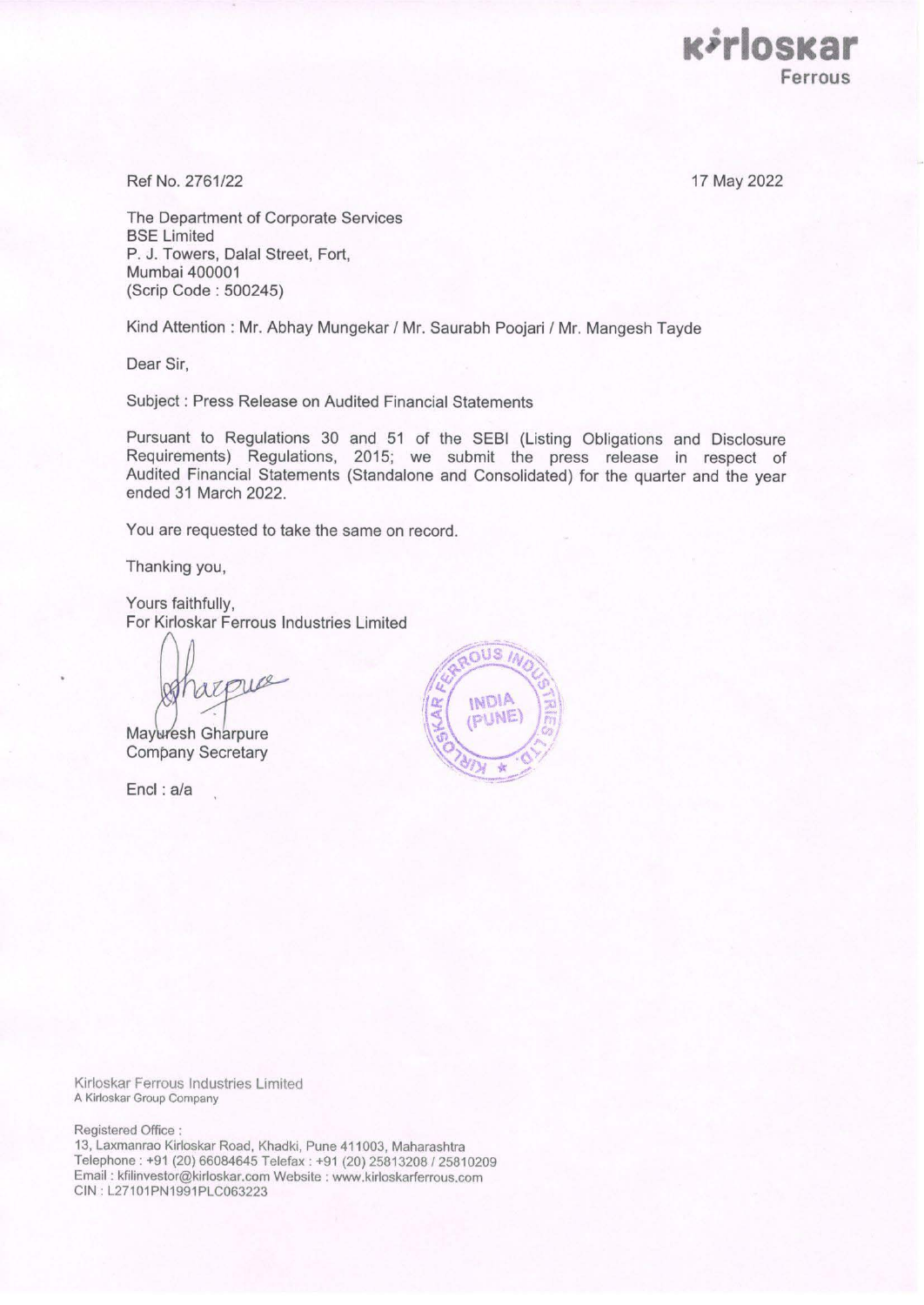17 May 2022

**acirlosacar** 

**Ferrous** 

Ref No. 2761/22

The Department of Corporate Services BSE Limited P. J. Towers, Dalal Street, Fort, Mumbai 400001 (Scrip Code : 500245)

Kind Attention : Mr. Abhay Mungekar / Mr. Saurabh Poojari / Mr. Mangesh Tayde

Dear Sir,

Subject : Press Release on Audited Financial Statements

Pursuant to Regulations 30 and 51 of the SEBI (Listing Obligations and Disclosure Requirements) Regulations, 2015; we submit the press release in respect of Audited Financial Statements (Standalone and Consolidated) for the quarter and the year ended 31 March 2022.

You are requested to take the same on record.

Thanking you,

Yours faithfully, For Kirloskar Ferrous Industries Limited

Lee

Mayuresh Gharpure Company Secretary

Encl : a/a



Kirloskar Ferrous Industries Limited A Kirloskar Group Company

Registered Office :

13, Laxmanrao Kirloskar Road, Khadki, Pune 411003, Maharashtra Telephone : +91 (20) 66084645 Telefax : +91 (20) 25813208 / 25810209 Email : kfilinvestor@kirloskar.com Website : www.kirloskarferrous.com CIN: L27101PN1991PLC063223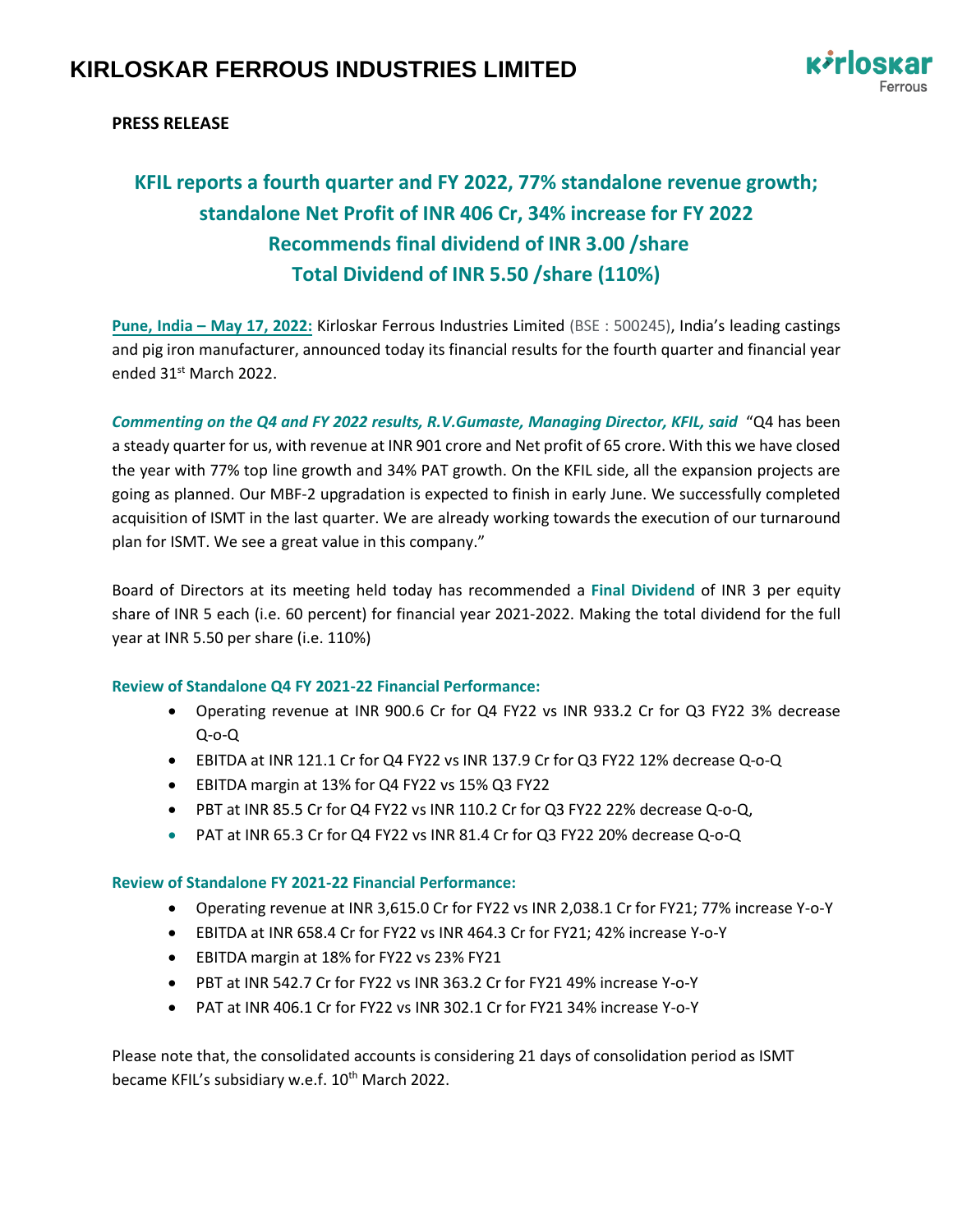

# **PRESS RELEASE**

# **KFIL reports a fourth quarter and FY 2022, 77% standalone revenue growth; standalone Net Profit of INR 406 Cr, 34% increase for FY 2022 Recommends final dividend of INR 3.00 /share Total Dividend of INR 5.50 /share (110%)**

**Pune, India – May 17, 2022:** Kirloskar Ferrous Industries Limited (BSE : 500245), India's leading castings and pig iron manufacturer, announced today its financial results for the fourth quarter and financial year ended 31st March 2022.

*Commenting on the Q4 and FY 2022 results, R.V.Gumaste, Managing Director, KFIL, said* "Q4 has been a steady quarter for us, with revenue at INR 901 crore and Net profit of 65 crore. With this we have closed the year with 77% top line growth and 34% PAT growth. On the KFIL side, all the expansion projects are going as planned. Our MBF-2 upgradation is expected to finish in early June. We successfully completed acquisition of ISMT in the last quarter. We are already working towards the execution of our turnaround plan for ISMT. We see a great value in this company."

Board of Directors at its meeting held today has recommended a **Final Dividend** of INR 3 per equity share of INR 5 each (i.e. 60 percent) for financial year 2021-2022. Making the total dividend for the full year at INR 5.50 per share (i.e. 110%)

## **Review of Standalone Q4 FY 2021-22 Financial Performance:**

- Operating revenue at INR 900.6 Cr for Q4 FY22 vs INR 933.2 Cr for Q3 FY22 3% decrease Q-o-Q
- EBITDA at INR 121.1 Cr for Q4 FY22 vs INR 137.9 Cr for Q3 FY22 12% decrease Q-o-Q
- EBITDA margin at 13% for Q4 FY22 vs 15% Q3 FY22
- PBT at INR 85.5 Cr for Q4 FY22 vs INR 110.2 Cr for Q3 FY22 22% decrease Q-o-Q,
- PAT at INR 65.3 Cr for Q4 FY22 vs INR 81.4 Cr for Q3 FY22 20% decrease Q-o-Q

## **Review of Standalone FY 2021-22 Financial Performance:**

- Operating revenue at INR 3,615.0 Cr for FY22 vs INR 2,038.1 Cr for FY21; 77% increase Y-o-Y
- EBITDA at INR 658.4 Cr for FY22 vs INR 464.3 Cr for FY21; 42% increase Y-o-Y
- EBITDA margin at 18% for FY22 vs 23% FY21
- PBT at INR 542.7 Cr for FY22 vs INR 363.2 Cr for FY21 49% increase Y-o-Y
- PAT at INR 406.1 Cr for FY22 vs INR 302.1 Cr for FY21 34% increase Y-o-Y

Please note that, the consolidated accounts is considering 21 days of consolidation period as ISMT became KFIL's subsidiary w.e.f. 10<sup>th</sup> March 2022.